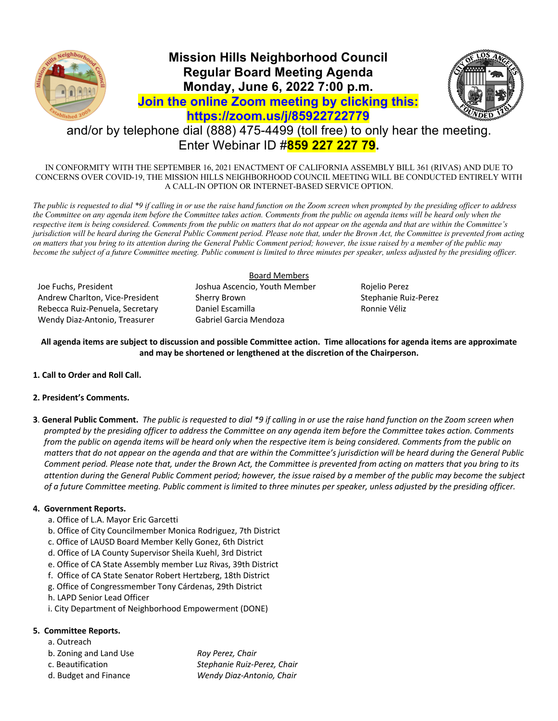

## **Mission Hills Neighborhood Council Regular Board Meeting Agenda Monday, June 6, 2022 7:00 p.m. Join the online Zoom meeting by clicking this: https://zoom.us/j/85922722779**



# and/or by telephone dial (888) 475-4499 (toll free) to only hear the meeting. Enter Webinar ID #**859 227 227 79.**

IN CONFORMITY WITH THE SEPTEMBER 16, 2021 ENACTMENT OF CALIFORNIA ASSEMBLY BILL 361 (RIVAS) AND DUE TO CONCERNS OVER COVID-19, THE MISSION HILLS NEIGHBORHOOD COUNCIL MEETING WILL BE CONDUCTED ENTIRELY WITH A CALL-IN OPTION OR INTERNET-BASED SERVICE OPTION.

*The public is requested to dial \*9 if calling in or use the raise hand function on the Zoom screen when prompted by the presiding officer to address the Committee on any agenda item before the Committee takes action. Comments from the public on agenda items will be heard only when the respective item is being considered. Comments from the public on matters that do not appear on the agenda and that are within the Committee's jurisdiction will be heard during the General Public Comment period. Please note that, under the Brown Act, the Committee is prevented from acting on matters that you bring to its attention during the General Public Comment period; however, the issue raised by a member of the public may become the subject of a future Committee meeting. Public comment is limited to three minutes per speaker, unless adjusted by the presiding officer.* 

Joe Fuchs, President Joshua Ascencio, Youth Member Rojelio Perez Andrew Charlton, Vice-President Sherry Brown Stephanie Ruiz-Perez Rebecca Ruiz-Penuela, Secretary **Daniel Escamilla** Ronnie Véliz Wendy Diaz-Antonio, Treasurer Gabriel Garcia Mendoza

### Board Members

**All agenda items are subject to discussion and possible Committee action. Time allocations for agenda items are approximate and may be shortened or lengthened at the discretion of the Chairperson.**

**1. Call to Order and Roll Call.**

## **2. President's Comments.**

**3**. **General Public Comment.** *The public is requested to dial \*9 if calling in or use the raise hand function on the Zoom screen when prompted by the presiding officer to address the Committee on any agenda item before the Committee takes action. Comments from the public on agenda items will be heard only when the respective item is being considered. Comments from the public on matters that do not appear on the agenda and that are within the Committee's jurisdiction will be heard during the General Public Comment period. Please note that, under the Brown Act, the Committee is prevented from acting on matters that you bring to its attention during the General Public Comment period; however, the issue raised by a member of the public may become the subject of a future Committee meeting. Public comment is limited to three minutes per speaker, unless adjusted by the presiding officer.*

## **4. Government Reports.**

- a. Office of L.A. Mayor Eric Garcetti
- b. Office of City Councilmember Monica Rodriguez, 7th District
- c. Office of LAUSD Board Member Kelly Gonez, 6th District
- d. Office of LA County Supervisor Sheila Kuehl, 3rd District
- e. Office of CA State Assembly member Luz Rivas, 39th District
- f. Office of CA State Senator Robert Hertzberg, 18th District
- g. Office of Congressmember Tony Cárdenas, 29th District
- h. LAPD Senior Lead Officer
- i. City Department of Neighborhood Empowerment (DONE)

### **5. Committee Reports.**

- a. Outreach
- b. Zoning and Land Use *Roy Perez, Chair*
- c. Beautification *Stephanie Ruiz-Perez, Chair*
- 

d. Budget and Finance *Wendy Diaz-Antonio, Chair*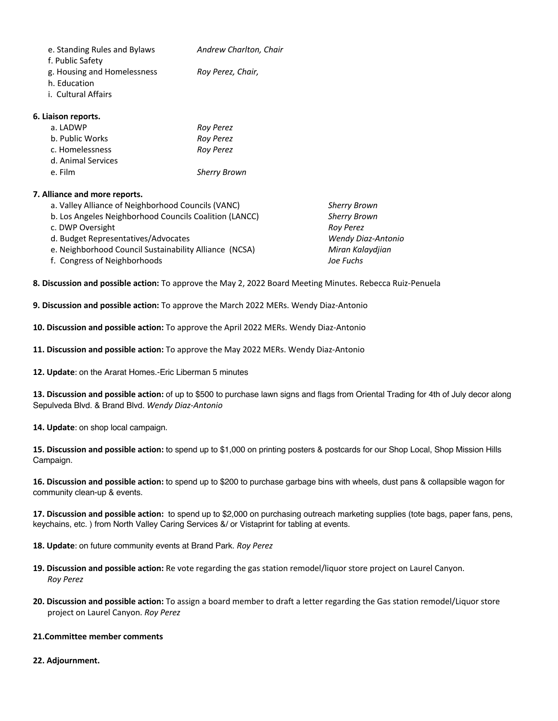| e. Standing Rules and Bylaws | Andrew Charlton, Chair |
|------------------------------|------------------------|
| f. Public Safety             |                        |
| g. Housing and Homelessness  | Roy Perez, Chair,      |
| h. Education                 |                        |
|                              |                        |

i. Cultural Affairs

#### **6. Liaison reports.**

| a. LADWP           | Roy Perez           |
|--------------------|---------------------|
| b. Public Works    | <b>Roy Perez</b>    |
| c. Homelessness    | <b>Roy Perez</b>    |
| d. Animal Services |                     |
| e. Film            | <b>Sherry Brown</b> |

#### **7. Alliance and more reports.**

| a. Valley Alliance of Neighborhood Councils (VANC)     | <b>Sherry Bro</b> |
|--------------------------------------------------------|-------------------|
| b. Los Angeles Neighborhood Councils Coalition (LANCC) | <b>Sherry Bro</b> |
| c. DWP Oversight                                       | <b>Roy Perez</b>  |
| d. Budget Representatives/Advocates                    | Wendy Di          |
| e. Neighborhood Council Sustainability Alliance (NCSA) | Miran Kal         |
| f. Congress of Neighborhoods                           | Joe Fuchs         |

Sherry Brown **Sherry Brown**  $Roy$  *Perez* **Wendy Diaz-Antonio Miran Kalaydjian** 

**8. Discussion and possible action:** To approve the May 2, 2022 Board Meeting Minutes. Rebecca Ruiz-Penuela

**9. Discussion and possible action:** To approve the March 2022 MERs. Wendy Diaz-Antonio

**10. Discussion and possible action:** To approve the April 2022 MERs. Wendy Diaz-Antonio

**11. Discussion and possible action:** To approve the May 2022 MERs. Wendy Diaz-Antonio

**12. Update**: on the Ararat Homes.-Eric Liberman 5 minutes

**13. Discussion and possible action:** of up to \$500 to purchase lawn signs and flags from Oriental Trading for 4th of July decor along Sepulveda Blvd. & Brand Blvd. *Wendy Diaz-Antonio*

**14. Update**: on shop local campaign.

**15. Discussion and possible action:** to spend up to \$1,000 on printing posters & postcards for our Shop Local, Shop Mission Hills Campaign.

**16. Discussion and possible action:** to spend up to \$200 to purchase garbage bins with wheels, dust pans & collapsible wagon for community clean-up & events.

**17. Discussion and possible action:** to spend up to \$2,000 on purchasing outreach marketing supplies (tote bags, paper fans, pens, keychains, etc. ) from North Valley Caring Services &/ or Vistaprint for tabling at events.

**18. Update**: on future community events at Brand Park. *Roy Perez*

- **19. Discussion and possible action:** Re vote regarding the gas station remodel/liquor store project on Laurel Canyon. *Roy Perez*
- **20. Discussion and possible action:** To assign a board member to draft a letter regarding the Gas station remodel/Liquor store project on Laurel Canyon. *Roy Perez*

#### **21.Committee member comments**

#### **22. Adjournment.**